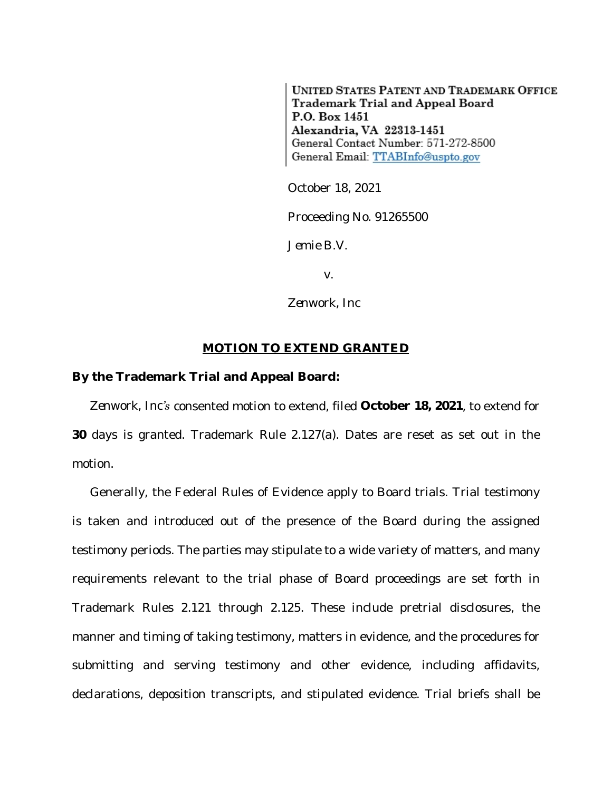**UNITED STATES PATENT AND TRADEMARK OFFICE** Trademark Trial and Appeal Board P.O. Box 1451 Alexandria, VA 22313-1451 General Contact Number: 571-272-8500 General Email: TTABInfo@uspto.gov

October 18, 2021

Proceeding No. 91265500

*Jemie B.V.*

v.

*Zenwork, Inc*

## **MOTION TO EXTEND GRANTED**

## **By the Trademark Trial and Appeal Board:**

*Zenwork, Inc's* consented motion to extend, filed **October 18, 2021**, to extend for **30** days is granted. Trademark Rule 2.127(a). Dates are reset as set out in the motion.

Generally, the Federal Rules of Evidence apply to Board trials. Trial testimony is taken and introduced out of the presence of the Board during the assigned testimony periods. The parties may stipulate to a wide variety of matters, and many requirements relevant to the trial phase of Board proceedings are set forth in Trademark Rules 2.121 through 2.125. These include pretrial disclosures, the manner and timing of taking testimony, matters in evidence, and the procedures for submitting and serving testimony and other evidence, including affidavits, declarations, deposition transcripts, and stipulated evidence. Trial briefs shall be